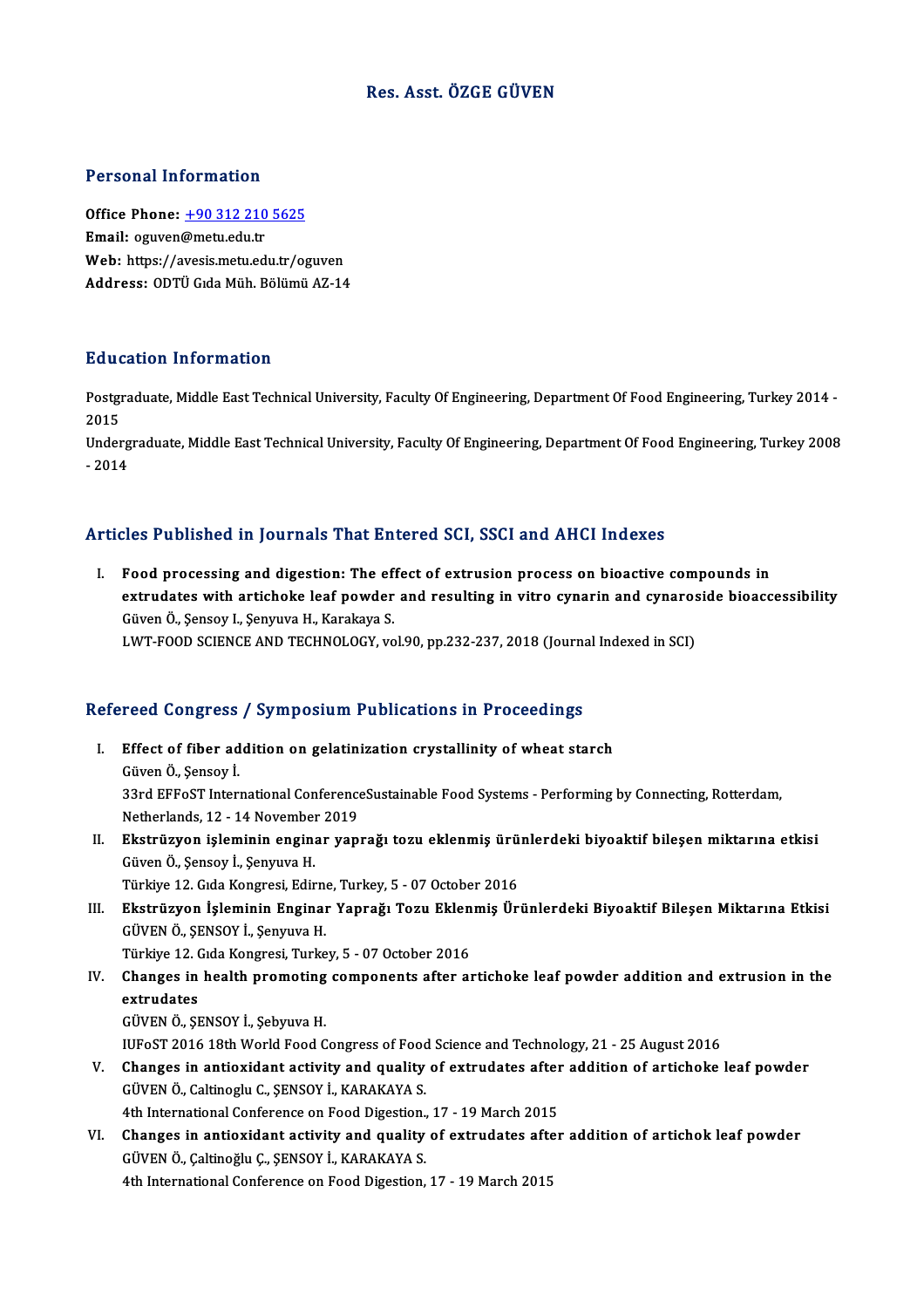## Res. Asst. ÖZGE GÜVEN

#### Personal Information

Office Phone: +90 312 210 5625 Email: oguven@metu.edu.tr Web: https://a[vesis.metu.edu.tr/o](tel:+90 312 210 5625)guven Address: ODTÜGıdaMüh.BölümüAZ-14

### Education Information

**Education Information**<br>Postgraduate, Middle East Technical University, Faculty Of Engineering, Department Of Food Engineering, Turkey 2014 -<br>2015 Huut<br>Postgi<br>2015<br>Under Postgraduate, Middle East Technical University, Faculty Of Engineering, Department Of Food Engineering, Turkey 2014<br>2015<br>Undergraduate, Middle East Technical University, Faculty Of Engineering, Department Of Food Engineeri

2015<br>Undergraduate, Middle East Technical University, Faculty Of Engineering, Department Of Food Engineering, Turkey 2008<br>- 2014

### Articles Published in Journals That Entered SCI, SSCI and AHCI Indexes

rticles Published in Journals That Entered SCI, SSCI and AHCI Indexes<br>I. Food processing and digestion: The effect of extrusion process on bioactive compounds in<br>extrudates with artichalse leaf nowder and requiring in with extrudates with artich article of the control of the control interests.<br>Food processing and digestion: The effect of extrusion process on bioactive compounds in<br>extrudates with artichoke leaf powder and resulting in vitro Food processing and digestion: The effectrudates with artichoke leaf powder<br>Güven Ö., Şensoy I., Şenyuva H., Karakaya S.<br>LWT FOOD SCIENCE AND TECHNOLOCY ve extrudates with artichoke leaf powder and resulting in vitro cynarin and cynaros<br>Güven Ö., Şensoy I., Şenyuva H., Karakaya S.<br>LWT-FOOD SCIENCE AND TECHNOLOGY, vol.90, pp.232-237, 2018 (Journal Indexed in SCI)

# 2000 SCIENCE AND TECHNOLOGY, VOL90, pp.232-237, 2018 (Journal)<br>Refereed Congress / Symposium Publications in Proceedings

- efereed Congress / Symposium Publications in Proceedings<br>I. Effect of fiber addition on gelatinization crystallinity of wheat starch<br>Civen 0 Sensey i I. Effect of fiber addition on gelatinization crystallinity of wheat starch Güven Ö., Şensoy İ. Effect of fiber addition on gelatinization crystallinity of wheat starch<br>Güven Ö., Şensoy İ.<br>33rd EFFoST International ConferenceSustainable Food Systems - Performing by Connecting, Rotterdam,<br>Netherlands 12, .14 Nevember Güven Ö., Şensoy İ.<br>33rd EFFoST International Conference<br>Netherlands, 12 - 14 November 2019<br>Ekstnüsyon isleminin enginer yen 33rd EFFoST International ConferenceSustainable Food Systems - Performing by Connecting, Rotterdam,<br>Netherlands, 12 - 14 November 2019<br>II. Ekstrüzyon işleminin enginar yaprağı tozu eklenmiş ürünlerdeki biyoaktif bileşen mi
- Netherlands, 12 14 November<br><mark>Ekstrüzyon işleminin engin</mark>:<br>Güven Ö., Şensoy İ., Şenyuva H.<br>Türkiye 12 *Cıda Kongnesi Edi*n Ekstrüzyon işleminin enginar yaprağı tozu eklenmiş ürü<br>Güven Ö., Şensoy İ., Şenyuva H.<br>Türkiye 12. Gıda Kongresi, Edirne, Turkey, 5 - 07 October 2016<br>Ekstnüzyon İslaminin Enginan Yannağı Tazu Eklanmiş Ün Güven Ö., Şensoy İ., Şenyuva H.<br>Türkiye 12. Gıda Kongresi, Edirne, Turkey, 5 - 07 October 2016<br>III. Ekstrüzyon İşleminin Enginar Yaprağı Tozu Eklenmiş Ürünlerdeki Biyoaktif Bileşen Miktarına Etkisi<br>CÜVEN Ö. SENSOV İ. S
- Türkiye 12. Gıda Kongresi, Edirne<br>**Ekstrüzyon İşleminin Engina**<br>GÜVEN Ö., ŞENSOY İ., Şenyuva H.<br>Türkiye 12. Gıda Kongresi Turka Ekstrüzyon İşleminin Enginar Yaprağı Tozu Eklen<br>GÜVEN Ö., ŞENSOY İ., Şenyuva H.<br>Türkiye 12. Gıda Kongresi, Turkey, 5 - 07 October 2016<br>Changes in haslth premating semnanenta after al GÜVEN Ö., ŞENSOY İ., Şenyuva H.<br>Türkiye 12. Gıda Kongresi, Turkey, 5 - 07 October 2016<br>IV. Changes in health promoting components after artichoke leaf powder addition and extrusion in the<br>extrudates
	-
- Türkiye 12. (<br>Changes in<br>extrudates<br>CÜVENÖ SI Changes in health promoting<br>extrudates<br>GÜVEN Ö., ŞENSOY İ., Şebyuva H.<br>HIEOST 2016 19th World Eood C extrudates<br>GÜVEN Ö., ŞENSOY İ., Şebyuva H.<br>IUFoST 2016 18th World Food Congress of Food Science and Technology, 21 - 25 August 2016<br>Changes in antioxidant astivity and quality of extrudates after addition of artisheks.
	-

- GÜVEN Ö., ŞENSOY İ., Şebyuva H.<br>IUFoST 2016 18th World Food Congress of Food Science and Technology, 21 25 August 2016<br>V. Changes in antioxidant activity and quality of extrudates after addition of artichoke leaf pow IUFoST 2016 18th World Food Congress of Food<br>Changes in antioxidant activity and quality<br>GÜVEN Ö., Caltinoglu C., ŞENSOY İ., KARAKAYA S. Changes in antioxidant activity and quality of extrudates after<br>GÜVEN Ö., Caltinoglu C., ŞENSOY İ., KARAKAYA S.<br>4th International Conference on Food Digestion., 17 - 19 March 2015<br>Changes in antioxidant activity and qualit
- GÜVEN Ö., Caltinoglu C., ŞENSOY İ., KARAKAYA S.<br>4th International Conference on Food Digestion., 17 19 March 2015<br>VI. Changes in antioxidant activity and quality of extrudates after addition of artichok leaf powder<br>CÜVEN 4th International Conference on Food Digestion.<br>Changes in antioxidant activity and quality<br>GÜVEN Ö., Çaltinoğlu Ç., ŞENSOY İ., KARAKAYA S.<br>4th International Conference on Food Digestion. Changes in antioxidant activity and quality of extrudates afte<br>GÜVEN Ö., Çaltinoğlu Ç., ŞENSOY İ., KARAKAYA S.<br>4th International Conference on Food Digestion, 17 - 19 March 2015